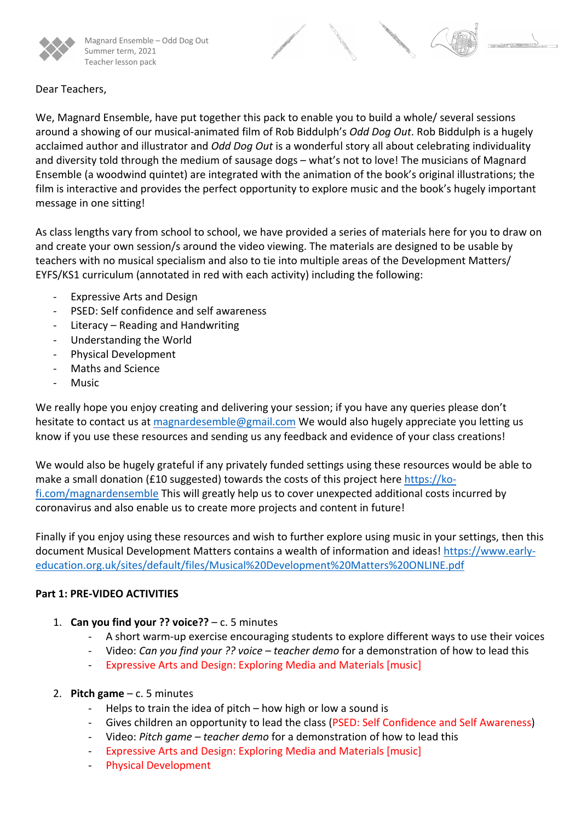

Magnard Ensemble – Odd Dog Out Summer term, 2021 Teacher lesson pack



## Dear Teachers,

We, Magnard Ensemble, have put together this pack to enable you to build a whole/ several sessions around a showing of our musical-animated film of Rob Biddulph's *Odd Dog Out*. Rob Biddulph is a hugely acclaimed author and illustrator and *Odd Dog Out* is a wonderful story all about celebrating individuality and diversity told through the medium of sausage dogs – what's not to love! The musicians of Magnard Ensemble (a woodwind quintet) are integrated with the animation of the book's original illustrations; the film is interactive and provides the perfect opportunity to explore music and the book's hugely important message in one sitting!

As class lengths vary from school to school, we have provided a series of materials here for you to draw on and create your own session/s around the video viewing. The materials are designed to be usable by teachers with no musical specialism and also to tie into multiple areas of the Development Matters/ EYFS/KS1 curriculum (annotated in red with each activity) including the following:

- Expressive Arts and Design
- PSED: Self confidence and self awareness
- Literacy Reading and Handwriting
- Understanding the World
- Physical Development
- Maths and Science
- **Music**

We really hope you enjoy creating and delivering your session; if you have any queries please don't hesitate to contact us at magnardesemble@gmail.com We would also hugely appreciate you letting us know if you use these resources and sending us any feedback and evidence of your class creations!

We would also be hugely grateful if any privately funded settings using these resources would be able to make a small donation (£10 suggested) towards the costs of this project here https://kofi.com/magnardensemble This will greatly help us to cover unexpected additional costs incurred by coronavirus and also enable us to create more projects and content in future!

Finally if you enjoy using these resources and wish to further explore using music in your settings, then this document Musical Development Matters contains a wealth of information and ideas! https://www.earlyeducation.org.uk/sites/default/files/Musical%20Development%20Matters%20ONLINE.pdf

# **Part 1: PRE-VIDEO ACTIVITIES**

- 1. **Can you find your ?? voice??** c. 5 minutes
	- A short warm-up exercise encouraging students to explore different ways to use their voices
	- Video: *Can you find your ?? voice – teacher demo* for a demonstration of how to lead this
	- Expressive Arts and Design: Exploring Media and Materials [music]

# 2. **Pitch game** – c. 5 minutes

- Helps to train the idea of pitch  $-$  how high or low a sound is
- Gives children an opportunity to lead the class (PSED: Self Confidence and Self Awareness)
- Video: *Pitch game – teacher demo* for a demonstration of how to lead this
- Expressive Arts and Design: Exploring Media and Materials [music]
- Physical Development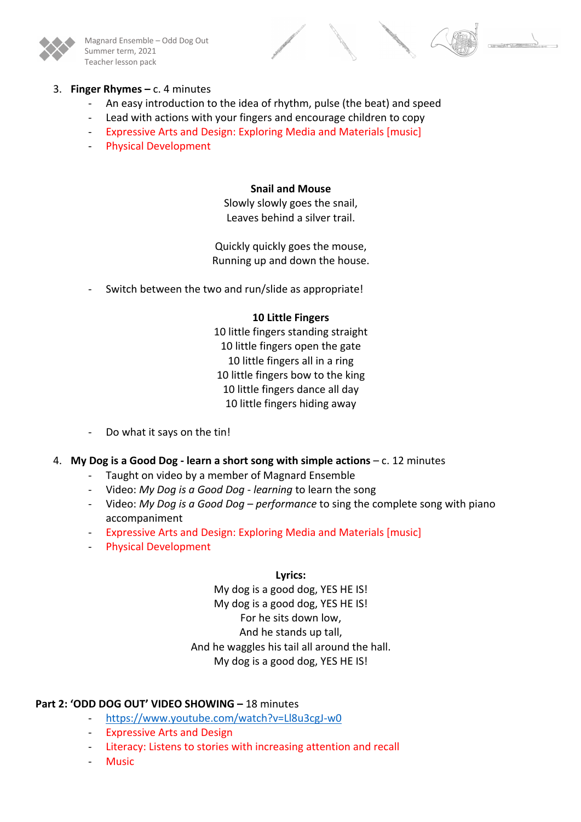

Magnard Ensemble – Odd Dog Out Summer term, 2021 Teacher lesson pack



## 3. **Finger Rhymes –** c. 4 minutes

- An easy introduction to the idea of rhythm, pulse (the beat) and speed
- Lead with actions with your fingers and encourage children to copy
- Expressive Arts and Design: Exploring Media and Materials [music]
- Physical Development

#### **Snail and Mouse**

Slowly slowly goes the snail, Leaves behind a silver trail.

Quickly quickly goes the mouse, Running up and down the house.

Switch between the two and run/slide as appropriate!

#### **10 Little Fingers**

10 little fingers standing straight 10 little fingers open the gate 10 little fingers all in a ring 10 little fingers bow to the king 10 little fingers dance all day 10 little fingers hiding away

Do what it says on the tin!

## 4. **My Dog is a Good Dog - learn a short song with simple actions** – c. 12 minutes

- Taught on video by a member of Magnard Ensemble
- Video: *My Dog is a Good Dog - learning* to learn the song
- Video: *My Dog is a Good Dog – performance* to sing the complete song with piano accompaniment
- Expressive Arts and Design: Exploring Media and Materials [music]
- Physical Development

#### **Lyrics:**

My dog is a good dog, YES HE IS! My dog is a good dog, YES HE IS! For he sits down low, And he stands up tall, And he waggles his tail all around the hall. My dog is a good dog, YES HE IS!

## **Part 2: 'ODD DOG OUT' VIDEO SHOWING –** 18 minutes

- https://www.youtube.com/watch?v=Ll8u3cgJ-w0
- Expressive Arts and Design
- Literacy: Listens to stories with increasing attention and recall
- **Music**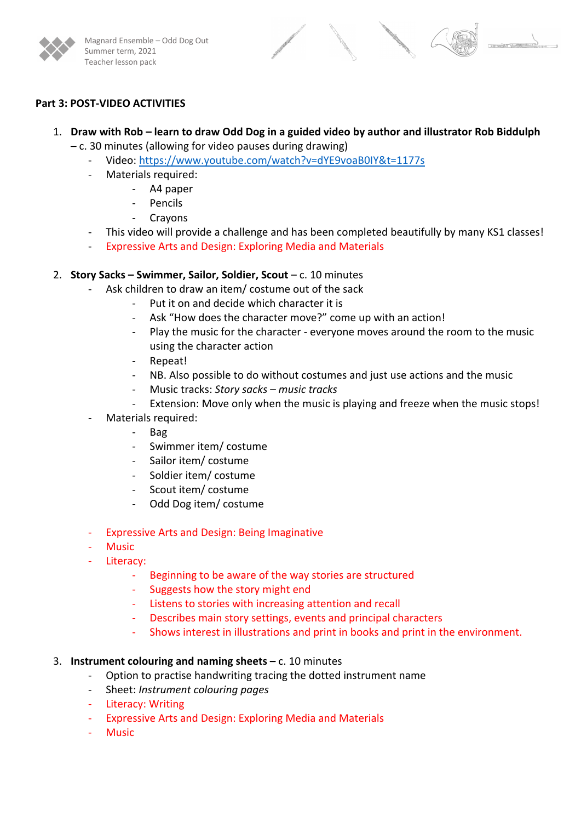

## **Part 3: POST-VIDEO ACTIVITIES**

- 1. **Draw with Rob – learn to draw Odd Dog in a guided video by author and illustrator Rob Biddulph –** c. 30 minutes (allowing for video pauses during drawing)
	- Video: https://www.youtube.com/watch?v=dYE9voaB0IY&t=1177s
	- Materials required:
		- A4 paper
		- **Pencils**
		- **Crayons**
	- This video will provide a challenge and has been completed beautifully by many KS1 classes!
	- Expressive Arts and Design: Exploring Media and Materials

## 2. **Story Sacks – Swimmer, Sailor, Soldier, Scout** – c. 10 minutes

- Ask children to draw an item/ costume out of the sack
	- Put it on and decide which character it is
		- Ask "How does the character move?" come up with an action!
	- Play the music for the character everyone moves around the room to the music using the character action
	- Repeat!
	- NB. Also possible to do without costumes and just use actions and the music
	- Music tracks: *Story sacks – music tracks*
	- Extension: Move only when the music is playing and freeze when the music stops!
- Materials required:
	- Bag
	- Swimmer item/ costume
	- Sailor item/ costume
	- Soldier item/ costume
	- Scout item/ costume
	- Odd Dog item/ costume
- Expressive Arts and Design: Being Imaginative
- **Music**
- Literacy:
	- Beginning to be aware of the way stories are structured
	- Suggests how the story might end
	- Listens to stories with increasing attention and recall
	- Describes main story settings, events and principal characters
	- Shows interest in illustrations and print in books and print in the environment.

## 3. **Instrument colouring and naming sheets –** c. 10 minutes

- Option to practise handwriting tracing the dotted instrument name
- Sheet: *Instrument colouring pages*
- Literacy: Writing
- Expressive Arts and Design: Exploring Media and Materials
- **Music**